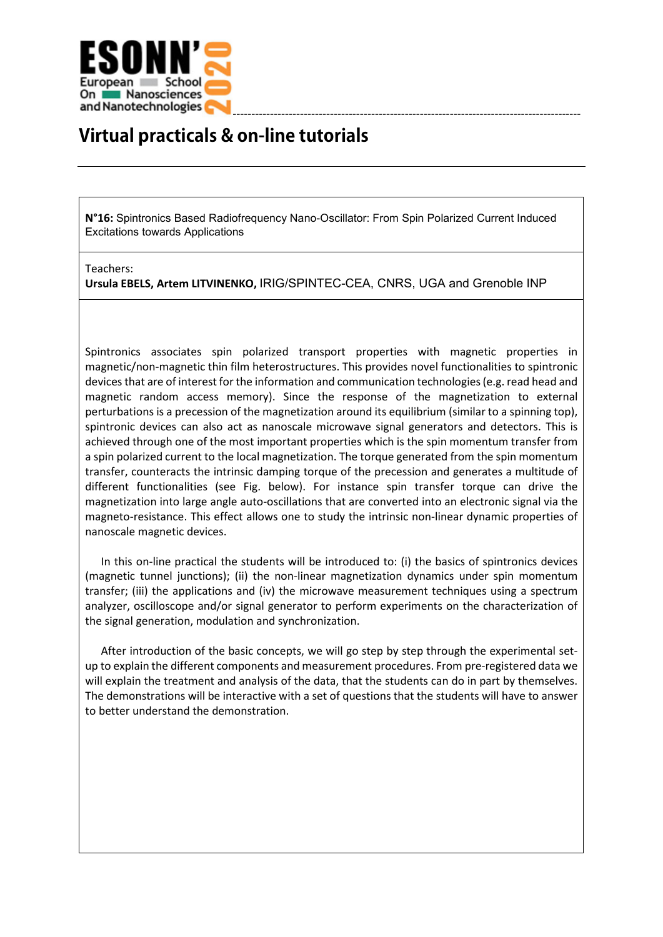

## **Virtual practicals & on-line tutorials**

**N°16:** Spintronics Based Radiofrequency Nano-Oscillator: From Spin Polarized Current Induced Excitations towards Applications

## Teachers:

**Ursula EBELS, Artem LITVINENKO,** IRIG/SPINTEC-CEA, CNRS, UGA and Grenoble INP

Spintronics associates spin polarized transport properties with magnetic properties in magnetic/non-magnetic thin film heterostructures. This provides novel functionalities to spintronic devices that are of interest for the information and communication technologies (e.g. read head and magnetic random access memory). Since the response of the magnetization to external perturbations is a precession of the magnetization around its equilibrium (similar to a spinning top), spintronic devices can also act as nanoscale microwave signal generators and detectors. This is achieved through one of the most important properties which is the spin momentum transfer from a spin polarized current to the local magnetization. The torque generated from the spin momentum transfer, counteracts the intrinsic damping torque of the precession and generates a multitude of different functionalities (see Fig. below). For instance spin transfer torque can drive the magnetization into large angle auto-oscillations that are converted into an electronic signal via the magneto-resistance. This effect allows one to study the intrinsic non-linear dynamic properties of nanoscale magnetic devices.

In this on-line practical the students will be introduced to: (i) the basics of spintronics devices (magnetic tunnel junctions); (ii) the non-linear magnetization dynamics under spin momentum transfer; (iii) the applications and (iv) the microwave measurement techniques using a spectrum analyzer, oscilloscope and/or signal generator to perform experiments on the characterization of the signal generation, modulation and synchronization.

After introduction of the basic concepts, we will go step by step through the experimental setup to explain the different components and measurement procedures. From pre-registered data we will explain the treatment and analysis of the data, that the students can do in part by themselves. The demonstrations will be interactive with a set of questions that the students will have to answer to better understand the demonstration.